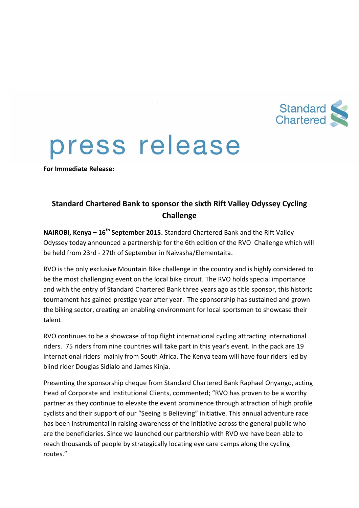

## press release

**For Immediate Release:**

## **Standard Chartered Bank to sponsor the sixth Rift Valley Odyssey Cycling Challenge**

**NAIROBI, Kenya – 16th September 2015.** Standard Chartered Bank and the Rift Valley Odyssey today announced a partnership for the 6th edition of the RVO Challenge which will be held from 23rd - 27th of September in Naivasha/Elementaita.

RVO is the only exclusive Mountain Bike challenge in the country and is highly considered to be the most challenging event on the local bike circuit. The RVO holds special importance and with the entry of Standard Chartered Bank three years ago as title sponsor, this historic tournament has gained prestige year after year. The sponsorship has sustained and grown the biking sector, creating an enabling environment for local sportsmen to showcase their talent

RVO continues to be a showcase of top flight international cycling attracting international riders. 75 riders from nine countries will take part in this year's event. In the pack are 19 international riders mainly from South Africa. The Kenya team will have four riders led by blind rider Douglas Sidialo and James Kinja.

Presenting the sponsorship cheque from Standard Chartered Bank Raphael Onyango, acting Head of Corporate and Institutional Clients, commented; "RVO has proven to be a worthy partner as they continue to elevate the event prominence through attraction of high profile cyclists and their support of our "Seeing is Believing" initiative. This annual adventure race has been instrumental in raising awareness of the initiative across the general public who are the beneficiaries. Since we launched our partnership with RVO we have been able to reach thousands of people by strategically locating eye care camps along the cycling routes."